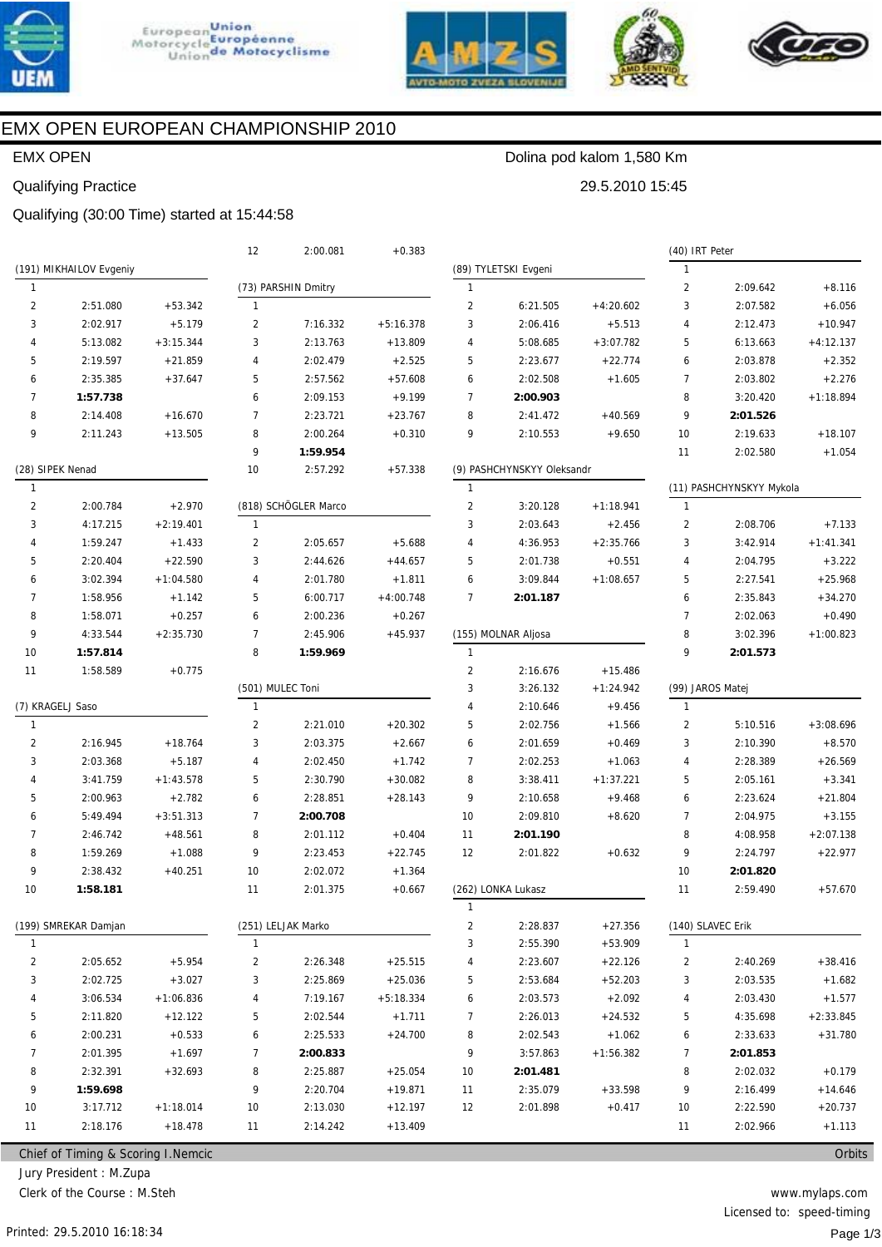





29.5.2010 15:45



# EMX OPEN EUROPEAN CHAMPIONSHIP 2010

## EMX OPEN

### Qualifying Practice

Qualifying (30:00 Time) started at 15:44:58

|                         |                                     |             | 12             | 2:00.081             | $+0.383$    |                |                            |             | (40) IRT Peter |                          |             |
|-------------------------|-------------------------------------|-------------|----------------|----------------------|-------------|----------------|----------------------------|-------------|----------------|--------------------------|-------------|
|                         | (191) MIKHAILOV Evgeniy             |             |                |                      |             |                | (89) TYLETSKI Evgeni       |             | $\mathbf{1}$   |                          |             |
| $\mathbf{1}$            |                                     |             |                | (73) PARSHIN Dmitry  |             | $\mathbf{1}$   |                            |             | $\overline{2}$ | 2:09.642                 | $+8.116$    |
| $\overline{\mathbf{c}}$ | 2:51.080                            | $+53.342$   | $\mathbf{1}$   |                      |             | $\overline{2}$ | 6:21.505                   | $+4:20.602$ | 3              | 2:07.582                 | $+6.056$    |
| 3                       | 2:02.917                            | $+5.179$    | $\overline{2}$ | 7:16.332             | $+5:16.378$ | 3              | 2:06.416                   | $+5.513$    | 4              | 2:12.473                 | $+10.947$   |
| 4                       | 5:13.082                            | $+3:15.344$ | 3              | 2:13.763             | $+13.809$   | 4              | 5:08.685                   | $+3:07.782$ | 5              | 6:13.663                 | $+4:12.137$ |
| 5                       | 2:19.597                            | $+21.859$   | $\overline{4}$ | 2:02.479             | $+2.525$    | 5              | 2:23.677                   | $+22.774$   | 6              | 2:03.878                 | $+2.352$    |
| 6                       | 2:35.385                            | $+37.647$   | 5              | 2:57.562             | $+57.608$   | 6              | 2:02.508                   | $+1.605$    | $\overline{7}$ | 2:03.802                 | $+2.276$    |
| $\overline{7}$          | 1:57.738                            |             | 6              | 2:09.153             | $+9.199$    | $\overline{7}$ | 2:00.903                   |             | 8              | 3:20.420                 | $+1:18.894$ |
| 8                       | 2:14.408                            | $+16.670$   | $\overline{7}$ | 2:23.721             | $+23.767$   | 8              | 2:41.472                   | $+40.569$   | 9              | 2:01.526                 |             |
| 9                       | 2:11.243                            | $+13.505$   | 8              | 2:00.264             | $+0.310$    | 9              | 2:10.553                   | $+9.650$    | 10             | 2:19.633                 | $+18.107$   |
|                         |                                     |             | 9              | 1:59.954             |             |                |                            |             | 11             | 2:02.580                 | $+1.054$    |
|                         | (28) SIPEK Nenad                    |             | 10             | 2:57.292             | $+57.338$   |                | (9) PASHCHYNSKYY Oleksandr |             |                |                          |             |
| $\mathbf{1}$            |                                     |             |                |                      |             | $\mathbf{1}$   |                            |             |                | (11) PASHCHYNSKYY Mykola |             |
| $\overline{c}$          | 2:00.784                            | $+2.970$    |                | (818) SCHÖGLER Marco |             | $\overline{c}$ | 3:20.128                   | $+1:18.941$ | $\mathbf{1}$   |                          |             |
| 3                       | 4:17.215                            | $+2:19.401$ | $\mathbf{1}$   |                      |             | 3              | 2:03.643                   | $+2.456$    | $\overline{2}$ | 2:08.706                 | $+7.133$    |
| 4                       | 1:59.247                            | $+1.433$    | $\overline{2}$ | 2:05.657             | $+5.688$    | 4              | 4:36.953                   | $+2:35.766$ | 3              | 3:42.914                 | $+1:41.341$ |
| 5                       | 2:20.404                            | $+22.590$   | 3              | 2:44.626             | $+44.657$   | 5              | 2:01.738                   | $+0.551$    | 4              | 2:04.795                 | $+3.222$    |
| 6                       | 3:02.394                            | $+1:04.580$ | 4              | 2:01.780             | $+1.811$    | 6              | 3:09.844                   | $+1:08.657$ | 5              | 2:27.541                 | $+25.968$   |
| $\overline{7}$          | 1:58.956                            | $+1.142$    | 5              | 6:00.717             | $+4:00.748$ | $\overline{7}$ | 2:01.187                   |             | 6              | 2:35.843                 | $+34.270$   |
| 8                       | 1:58.071                            | $+0.257$    | 6              | 2:00.236             | $+0.267$    |                |                            |             | $\overline{7}$ | 2:02.063                 | $+0.490$    |
| 9                       | 4:33.544                            | $+2:35.730$ | $\overline{7}$ | 2:45.906             | $+45.937$   |                | (155) MOLNAR Aljosa        |             | 8              | 3:02.396                 | $+1:00.823$ |
| 10                      | 1:57.814                            |             | 8              | 1:59.969             |             | $\mathbf{1}$   |                            |             | 9              | 2:01.573                 |             |
| 11                      | 1:58.589                            | $+0.775$    |                |                      |             | $\overline{2}$ | 2:16.676                   | $+15.486$   |                |                          |             |
|                         |                                     |             |                | (501) MULEC Toni     |             | 3              | 3:26.132                   | $+1:24.942$ |                | (99) JAROS Matej         |             |
|                         | (7) KRAGELJ Saso                    |             | $\mathbf{1}$   |                      |             | 4              | 2:10.646                   | $+9.456$    | $\mathbf{1}$   |                          |             |
| $\mathbf{1}$            |                                     |             | 2              | 2:21.010             | $+20.302$   | 5              | 2:02.756                   | $+1.566$    | $\overline{2}$ | 5:10.516                 | $+3:08.696$ |
| $\overline{2}$          | 2:16.945                            | $+18.764$   | 3              | 2:03.375             | $+2.667$    | 6              | 2:01.659                   | $+0.469$    | 3              | 2:10.390                 | $+8.570$    |
| 3                       | 2:03.368                            | $+5.187$    | $\overline{4}$ | 2:02.450             | $+1.742$    | $\overline{7}$ | 2:02.253                   | $+1.063$    | 4              | 2:28.389                 | $+26.569$   |
| 4                       | 3:41.759                            | $+1:43.578$ | 5              | 2:30.790             | $+30.082$   | 8              | 3:38.411                   | $+1:37.221$ | 5              | 2:05.161                 | $+3.341$    |
| 5                       | 2:00.963                            | $+2.782$    | 6              | 2:28.851             | $+28.143$   | 9              | 2:10.658                   | $+9.468$    | 6              | 2:23.624                 | $+21.804$   |
| 6                       | 5:49.494                            | $+3:51.313$ | $\overline{7}$ | 2:00.708             |             | 10             | 2:09.810                   | $+8.620$    | 7              | 2:04.975                 | $+3.155$    |
| $\overline{7}$          | 2:46.742                            | $+48.561$   | 8              | 2:01.112             | $+0.404$    | 11             | 2:01.190                   |             | 8              | 4:08.958                 | $+2:07.138$ |
| 8                       | 1:59.269                            | $+1.088$    | 9              | 2:23.453             | $+22.745$   | 12             | 2:01.822                   | $+0.632$    | 9              | 2:24.797                 | $+22.977$   |
| 9                       | 2:38.432                            | $+40.251$   | 10             | 2:02.072             | $+1.364$    |                |                            |             | 10             | 2:01.820                 |             |
| 10                      | 1:58.181                            |             | 11             | 2:01.375             | $+0.667$    |                | (262) LONKA Lukasz         |             | 11             | 2:59.490                 | $+57.670$   |
|                         |                                     |             |                |                      |             | $\mathbf{1}$   |                            |             |                |                          |             |
|                         | (199) SMREKAR Damjan                |             |                | (251) LELJAK Marko   |             | 2              | 2:28.837                   | $+27.356$   |                | (140) SLAVEC Erik        |             |
| $\mathbf{1}$            |                                     |             | $\mathbf{1}$   |                      |             | 3              | 2:55.390                   | $+53.909$   | $\mathbf{1}$   |                          |             |
| 2                       | 2:05.652                            | $+5.954$    | 2              | 2:26.348             | $+25.515$   | 4              | 2:23.607                   | $+22.126$   | 2              | 2:40.269                 | $+38.416$   |
| 3                       | 2:02.725                            | $+3.027$    | 3              | 2:25.869             | $+25.036$   | 5              | 2:53.684                   | $+52.203$   | 3              | 2:03.535                 | $+1.682$    |
| 4                       | 3:06.534                            | $+1:06.836$ | 4              | 7:19.167             | $+5:18.334$ | 6              | 2:03.573                   | $+2.092$    | 4              | 2:03.430                 | $+1.577$    |
| 5                       | 2:11.820                            | $+12.122$   | 5              | 2:02.544             | $+1.711$    | 7              | 2:26.013                   | $+24.532$   | 5              | 4:35.698                 | $+2:33.845$ |
| 6                       | 2:00.231                            | $+0.533$    | 6              | 2:25.533             | $+24.700$   | 8              | 2:02.543                   | $+1.062$    | 6              | 2:33.633                 | $+31.780$   |
| 7                       | 2:01.395                            | $+1.697$    | $\overline{7}$ | 2:00.833             |             | 9              | 3:57.863                   | $+1:56.382$ | 7              | 2:01.853                 |             |
| 8                       | 2:32.391                            | $+32.693$   | 8              | 2:25.887             | $+25.054$   | 10             | 2:01.481                   |             | 8              | 2:02.032                 | $+0.179$    |
| 9                       | 1:59.698                            |             | 9              | 2:20.704             | $+19.871$   | 11             | 2:35.079                   | $+33.598$   | 9              | 2:16.499                 | $+14.646$   |
| 10                      | 3:17.712                            | $+1:18.014$ | 10             | 2:13.030             | $+12.197$   | 12             | 2:01.898                   | $+0.417$    | 10             | 2:22.590                 | $+20.737$   |
| 11                      | 2:18.176                            | $+18.478$   | 11             | 2:14.242             | $+13.409$   |                |                            |             | 11             | 2:02.966                 | $+1.113$    |
|                         |                                     |             |                |                      |             |                |                            |             |                |                          |             |
|                         | Chief of Timing & Scoring I. Nemcic |             |                |                      |             |                |                            |             |                |                          | Orbits      |

Chief of Timing & Scoring I.Nemcic

Jury President : M.Zupa

Clerk of the Course : M.Steh

www.mylaps.com Licensed to: speed-timing Page 1/3

Dolina pod kalom 1,580 Km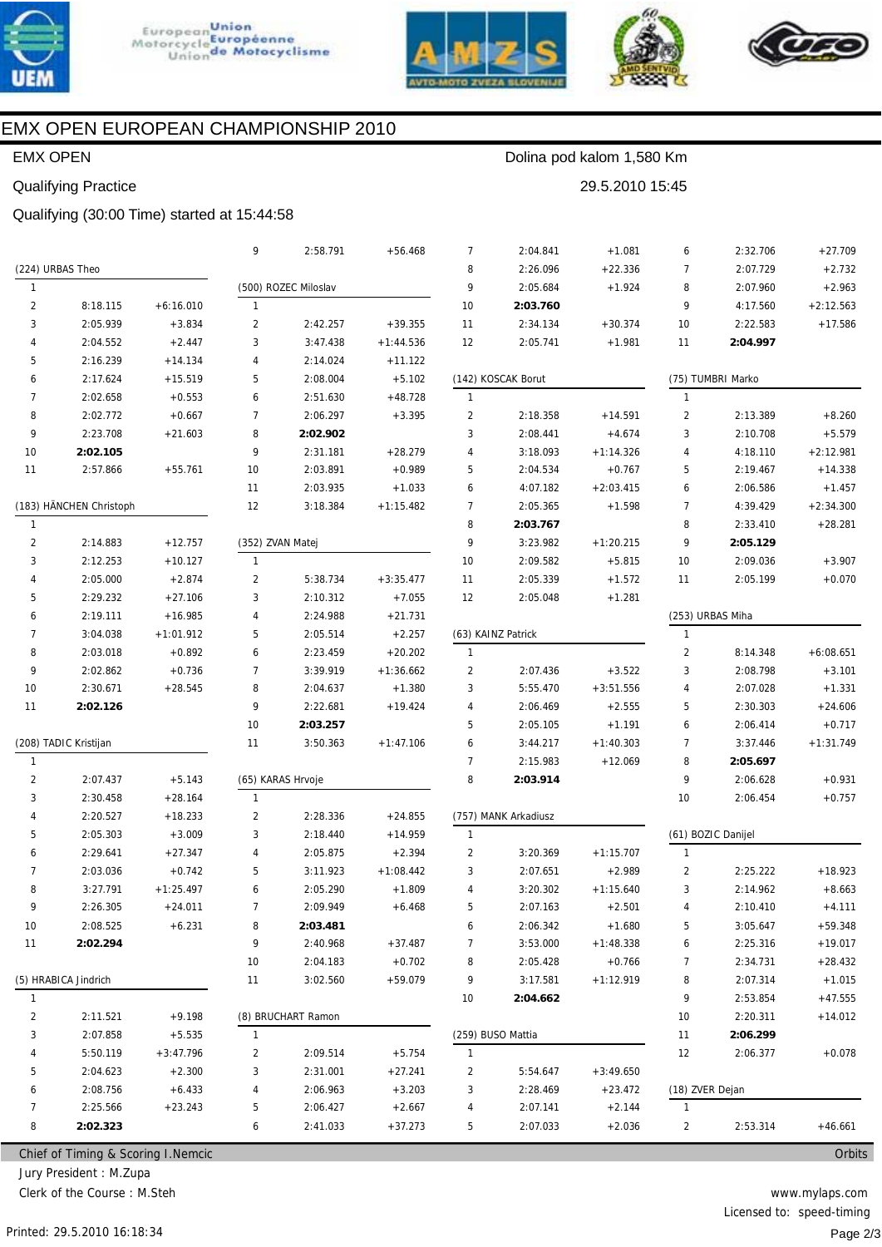





29.5.2010 15:45

Dolina pod kalom 1,580 Km



# EMX OPEN EUROPEAN CHAMPIONSHIP 2010

## **EMX OPEN**

## **Qualifying Practice**

Qualifying (30:00 Time) started at 15:44:58

|                |                                     |             | 9              | 2:58.791             | $+56.468$   | 7              | 2:04.841             | $+1.081$    | 6               | 2:32.706           | $+27.709$   |
|----------------|-------------------------------------|-------------|----------------|----------------------|-------------|----------------|----------------------|-------------|-----------------|--------------------|-------------|
|                | (224) URBAS Theo                    |             |                |                      |             | 8              | 2:26.096             | $+22.336$   | 7               | 2:07.729           | $+2.732$    |
| $\mathbf{1}$   |                                     |             |                | (500) ROZEC Miloslav |             | 9              | 2:05.684             | $+1.924$    | 8               | 2:07.960           | $+2.963$    |
| $\overline{2}$ | 8:18.115                            | $+6:16.010$ | $\mathbf{1}$   |                      |             | 10             | 2:03.760             |             | 9               | 4:17.560           | $+2:12.563$ |
| 3              | 2:05.939                            | $+3.834$    | $\overline{2}$ | 2:42.257             | $+39.355$   | 11             | 2:34.134             | $+30.374$   | 10              | 2:22.583           | $+17.586$   |
| 4              | 2:04.552                            | $+2.447$    | 3              | 3:47.438             | $+1:44.536$ | 12             | 2:05.741             | $+1.981$    | 11              | 2:04.997           |             |
| 5              | 2:16.239                            | $+14.134$   | 4              | 2:14.024             | $+11.122$   |                |                      |             |                 |                    |             |
| 6              | 2:17.624                            | $+15.519$   | 5              | 2:08.004             | $+5.102$    |                | (142) KOSCAK Borut   |             |                 | (75) TUMBRI Marko  |             |
| 7              | 2:02.658                            | $+0.553$    | 6              | 2:51.630             | $+48.728$   | $\mathbf{1}$   |                      |             | $\mathbf{1}$    |                    |             |
| 8              | 2:02.772                            | $+0.667$    | $\overline{7}$ | 2:06.297             | $+3.395$    | $\overline{2}$ | 2:18.358             | $+14.591$   | $\overline{2}$  | 2:13.389           | $+8.260$    |
| 9              | 2:23.708                            | $+21.603$   | 8              | 2:02.902             |             | 3              | 2:08.441             | $+4.674$    | 3               | 2:10.708           | $+5.579$    |
| 10             | 2:02.105                            |             | 9              | 2:31.181             | $+28.279$   | 4              | 3:18.093             | $+1:14.326$ | 4               | 4:18.110           | $+2:12.981$ |
| 11             | 2:57.866                            | $+55.761$   | 10             | 2:03.891             | $+0.989$    | 5              | 2:04.534             | $+0.767$    | 5               | 2:19.467           | $+14.338$   |
|                |                                     |             | 11             | 2:03.935             | $+1.033$    | 6              | 4:07.182             | $+2:03.415$ | 6               | 2:06.586           | $+1.457$    |
|                | (183) HÄNCHEN Christoph             |             | 12             | 3:18.384             | $+1:15.482$ | $\overline{7}$ | 2:05.365             | $+1.598$    | 7               | 4:39.429           | $+2:34.300$ |
| $\mathbf{1}$   |                                     |             |                |                      |             | 8              | 2:03.767             |             | 8               | 2:33.410           | $+28.281$   |
| 2              | 2:14.883                            | $+12.757$   |                | (352) ZVAN Matej     |             | 9              | 3:23.982             | $+1:20.215$ | 9               | 2:05.129           |             |
| 3              | 2:12.253                            | $+10.127$   | $\mathbf{1}$   |                      |             | 10             | 2:09.582             | $+5.815$    | 10              | 2:09.036           | $+3.907$    |
| 4              | 2:05.000                            | $+2.874$    | $\overline{2}$ | 5:38.734             | $+3:35.477$ | 11             | 2:05.339             | $+1.572$    | 11              | 2:05.199           | $+0.070$    |
| 5              | 2:29.232                            | $+27.106$   | 3              | 2:10.312             | $+7.055$    | 12             | 2:05.048             | $+1.281$    |                 |                    |             |
| 6              | 2:19.111                            | $+16.985$   | 4              | 2:24.988             | $+21.731$   |                |                      |             |                 | (253) URBAS Miha   |             |
| 7              | 3:04.038                            | $+1:01.912$ | 5              | 2:05.514             | $+2.257$    |                | (63) KAINZ Patrick   |             | $\mathbf{1}$    |                    |             |
| 8              | 2:03.018                            | $+0.892$    | 6              | 2:23.459             | $+20.202$   | $\mathbf{1}$   |                      |             | $\overline{2}$  | 8:14.348           | $+6:08.651$ |
| 9              | 2:02.862                            | $+0.736$    | 7              | 3:39.919             | $+1:36.662$ | 2              | 2:07.436             | $+3.522$    | 3               | 2:08.798           | $+3.101$    |
| 10             | 2:30.671                            | $+28.545$   | 8              | 2:04.637             | $+1.380$    | 3              | 5:55.470             | $+3:51.556$ | 4               | 2:07.028           | $+1.331$    |
| 11             | 2:02.126                            |             | 9              | 2:22.681             | $+19.424$   | 4              | 2:06.469             | $+2.555$    | 5               | 2:30.303           | $+24.606$   |
|                |                                     |             | 10             | 2:03.257             |             | 5              | 2:05.105             | $+1.191$    | 6               | 2:06.414           | $+0.717$    |
|                | (208) TADIC Kristijan               |             | 11             | 3:50.363             | $+1:47.106$ | 6              | 3:44.217             | $+1:40.303$ | 7               | 3:37.446           | $+1:31.749$ |
| $\mathbf{1}$   |                                     |             |                |                      |             | 7              | 2:15.983             | $+12.069$   | 8               | 2:05.697           |             |
| 2              | 2:07.437                            | $+5.143$    |                | (65) KARAS Hrvoje    |             | 8              | 2:03.914             |             | 9               | 2:06.628           | $+0.931$    |
| 3              | 2:30.458                            | $+28.164$   | $\mathbf{1}$   |                      |             |                |                      |             | 10              | 2:06.454           | $+0.757$    |
| 4              | 2:20.527                            | $+18.233$   | $\overline{2}$ | 2:28.336             | $+24.855$   |                | (757) MANK Arkadiusz |             |                 |                    |             |
| 5              | 2:05.303                            | $+3.009$    | 3              | 2:18.440             | $+14.959$   | $\mathbf{1}$   |                      |             |                 | (61) BOZIC Danijel |             |
| 6              | 2:29.641                            | $+27.347$   | 4              | 2:05.875             | $+2.394$    | $\overline{2}$ | 3:20.369             | $+1:15.707$ | $\mathbf{1}$    |                    |             |
| 7              | 2:03.036                            | $+0.742$    | 5              | 3:11.923             | $+1:08.442$ | 3              | 2:07.651             | $+2.989$    | $\overline{2}$  | 2:25.222           | $+18.923$   |
| 8              | 3:27.791                            | $+1:25.497$ | 6              | 2:05.290             | $+1.809$    | 4              | 3:20.302             | $+1:15.640$ | 3               | 2:14.962           | $+8.663$    |
|                | 2:26.305                            | $+24.011$   |                | 2:09.949             | $+6.468$    | 5              | 2:07.163             | $+2.501$    | 4               | 2:10.410           | $+4.111$    |
| 10             | 2:08.525                            | $+6.231$    | 8              | 2:03.481             |             | 6              | 2:06.342             | $+1.680$    | 5               | 3:05.647           | $+59.348$   |
| 11             | 2:02.294                            |             | 9              | 2:40.968             | $+37.487$   | 7              | 3:53.000             | $+1:48.338$ | 6               | 2:25.316           | $+19.017$   |
|                |                                     |             | $10$           | 2:04.183             | $+0.702$    | 8              | 2:05.428             | $+0.766$    | 7               | 2:34.731           | $+28.432$   |
|                | (5) HRABICA Jindrich                |             | 11             | 3:02.560             | $+59.079$   | 9              | 3:17.581             | $+1:12.919$ | 8               | 2:07.314           | $+1.015$    |
| $\mathbf{1}$   |                                     |             |                |                      |             | 10             | 2:04.662             |             | 9               | 2:53.854           | $+47.555$   |
|                |                                     |             |                |                      |             |                |                      |             |                 |                    | $+14.012$   |
| 2              | 2:11.521                            | $+9.198$    |                | (8) BRUCHART Ramon   |             |                |                      |             | 10              | 2:20.311           |             |
| 3              | 2:07.858                            | $+5.535$    | $\mathbf{1}$   |                      |             |                | (259) BUSO Mattia    |             | 11              | 2:06.299           |             |
| 4              | 5:50.119                            | $+3:47.796$ | 2              | 2:09.514             | $+5.754$    | 1              |                      |             | 12              | 2:06.377           | $+0.078$    |
| 5              | 2:04.623                            | $+2.300$    | 3              | 2:31.001             | $+27.241$   | 2              | 5:54.647             | $+3:49.650$ |                 |                    |             |
| 6              | 2:08.756                            | $+6.433$    | 4              | 2:06.963             | $+3.203$    | 3              | 2:28.469             | $+23.472$   | (18) ZVER Dejan |                    |             |
| 7              | 2:25.566                            | $+23.243$   | 5              | 2:06.427             | $+2.667$    | 4              | 2:07.141             | $+2.144$    | $\mathbf{1}$    |                    |             |
| 8              | 2:02.323                            |             | 6              | 2:41.033             | $+37.273$   | 5              | 2:07.033             | $+2.036$    | $\overline{2}$  | 2:53.314           | $+46.661$   |
|                | Chief of Timing & Scoring I. Nemcic |             |                |                      |             |                |                      |             |                 |                    | Orbits      |

Chief of Timing & Scoring I.Nemcic

Jury President : M.Zupa

Clerk of the Course: M.Steh

www.mylaps.com Licensed to: speed-timing Page 2/3